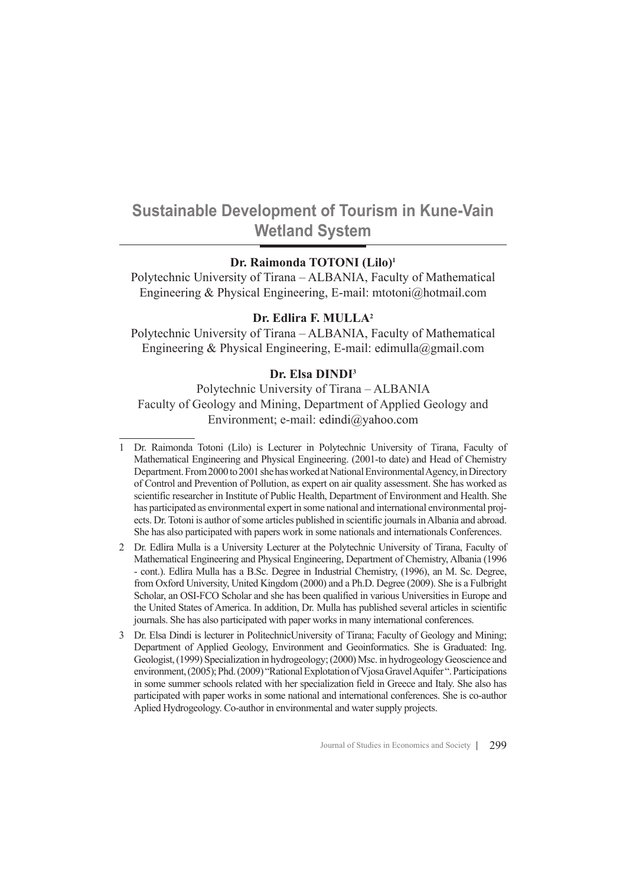# **Sustainable Development of Tourism in Kune-Vain Wetland System**

## **Dr. Raimonda TOTONI (Lilo)<sup>1</sup>**

Polytechnic University of Tirana – ALBANIA, Faculty of Mathematical Engineering & Physical Engineering, E-mail: mtotoni@hotmail.com

## **Dr. Edlira F. MULLA<sup>2</sup>**

Polytechnic University of Tirana – ALBANIA, Faculty of Mathematical Engineering & Physical Engineering, E-mail: edimulla@gmail.com

## **Dr. Elsa DINDI<sup>3</sup>**

Polytechnic University of Tirana – ALBANIA Faculty of Geology and Mining, Department of Applied Geology and Environment; e-mail: edindi@yahoo.com

<sup>1</sup> Dr. Raimonda Totoni (Lilo) is Lecturer in Polytechnic University of Tirana, Faculty of Mathematical Engineering and Physical Engineering. (2001-to date) and Head of Chemistry Department. From 2000 to 2001 she has worked at National Environmental Agency, in Directory of Control and Prevention of Pollution, as expert on air quality assessment. She has worked as scientific researcher in Institute of Public Health, Department of Environment and Health. She has participated as environmental expert in some national and international environmental projects. Dr. Totoni is author of some articles published in scientific journals in Albania and abroad. She has also participated with papers work in some nationals and internationals Conferences.

<sup>2</sup> Dr. Edlira Mulla is a University Lecturer at the Polytechnic University of Tirana, Faculty of Mathematical Engineering and Physical Engineering, Department of Chemistry, Albania (1996 - cont.). Edlira Mulla has a B.Sc. Degree in Industrial Chemistry, (1996), an M. Sc. Degree, from Oxford University, United Kingdom (2000) and a Ph.D. Degree (2009). She is a Fulbright Scholar, an OSI-FCO Scholar and she has been qualified in various Universities in Europe and the United States of America. In addition, Dr. Mulla has published several articles in scientific journals. She has also participated with paper works in many international conferences.

<sup>3</sup> Dr. Elsa Dindi is lecturer in PolitechnicUniversity of Tirana; Faculty of Geology and Mining; Department of Applied Geology, Environment and Geoinformatics. She is Graduated: Ing. Geologist, (1999) Specialization in hydrogeology; (2000) Msc. in hydrogeology Geoscience and environment, (2005); Phd. (2009) "Rational Explotation of Vjosa Gravel Aquifer ". Participations in some summer schools related with her specialization field in Greece and Italy. She also has participated with paper works in some national and international conferences. She is co-author Aplied Hydrogeology. Co-author in environmental and water supply projects.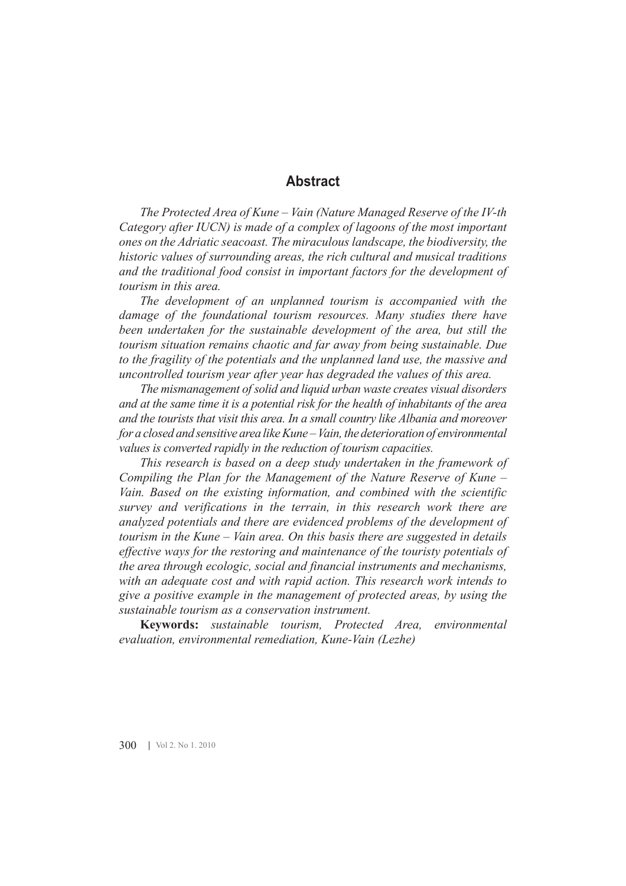# **Abstract**

*The Protected Area of Kune – Vain (Nature Managed Reserve of the IV-th Category after IUCN) is made of a complex of lagoons of the most important ones on the Adriatic seacoast. The miraculous landscape, the biodiversity, the historic values of surrounding areas, the rich cultural and musical traditions and the traditional food consist in important factors for the development of tourism in this area.* 

*The development of an unplanned tourism is accompanied with the damage of the foundational tourism resources. Many studies there have been undertaken for the sustainable development of the area, but still the tourism situation remains chaotic and far away from being sustainable. Due to the fragility of the potentials and the unplanned land use, the massive and uncontrolled tourism year after year has degraded the values of this area.*

*The mismanagement of solid and liquid urban waste creates visual disorders and at the same time it is a potential risk for the health of inhabitants of the area and the tourists that visit this area. In a small country like Albania and moreover for a closed and sensitive area like Kune – Vain, the deterioration of environmental values is converted rapidly in the reduction of tourism capacities.* 

*This research is based on a deep study undertaken in the framework of Compiling the Plan for the Management of the Nature Reserve of Kune – Vain. Based on the existing information, and combined with the scientific survey and verifications in the terrain, in this research work there are analyzed potentials and there are evidenced problems of the development of tourism in the Kune – Vain area. On this basis there are suggested in details effective ways for the restoring and maintenance of the touristy potentials of the area through ecologic, social and financial instruments and mechanisms, with an adequate cost and with rapid action. This research work intends to give a positive example in the management of protected areas, by using the sustainable tourism as a conservation instrument.* 

**Keywords:** *sustainable tourism, Protected Area, environmental evaluation, environmental remediation, Kune-Vain (Lezhe)*

300 | Vol 2. No 1. 2010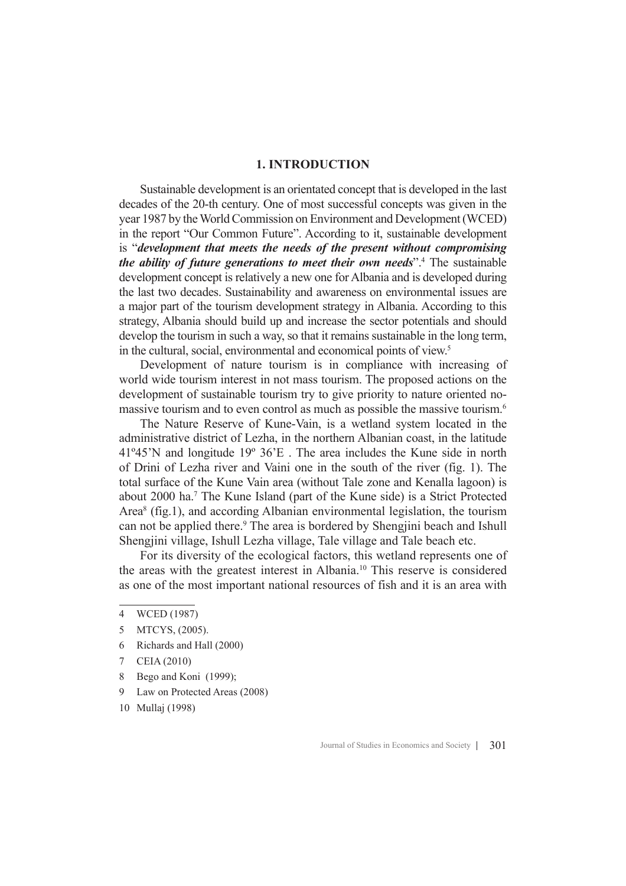#### **1. INTRODUCTION**

Sustainable development is an orientated concept that is developed in the last decades of the 20-th century. One of most successful concepts was given in the year 1987 by the World Commission on Environment and Development (WCED) in the report "Our Common Future". According to it, sustainable development is "*development that meets the needs of the present without compromising the ability of future generations to meet their own needs*".<sup>4</sup> The sustainable development concept is relatively a new one for Albania and is developed during the last two decades. Sustainability and awareness on environmental issues are a major part of the tourism development strategy in Albania. According to this strategy, Albania should build up and increase the sector potentials and should develop the tourism in such a way, so that it remains sustainable in the long term, in the cultural, social, environmental and economical points of view.<sup>5</sup>

Development of nature tourism is in compliance with increasing of world wide tourism interest in not mass tourism. The proposed actions on the development of sustainable tourism try to give priority to nature oriented nomassive tourism and to even control as much as possible the massive tourism.<sup>6</sup>

The Nature Reserve of Kune-Vain, is a wetland system located in the administrative district of Lezha, in the northern Albanian coast, in the latitude 41º45'N and longitude 19º 36'E . The area includes the Kune side in north of Drini of Lezha river and Vaini one in the south of the river (fig. 1). The total surface of the Kune Vain area (without Tale zone and Kenalla lagoon) is about 2000 ha.<sup>7</sup> The Kune Island (part of the Kune side) is a Strict Protected Area<sup>8</sup> (fig.1), and according Albanian environmental legislation, the tourism can not be applied there.<sup>9</sup> The area is bordered by Shengjini beach and Ishull Shengjini village, Ishull Lezha village, Tale village and Tale beach etc.

For its diversity of the ecological factors, this wetland represents one of the areas with the greatest interest in Albania.<sup>10</sup> This reserve is considered as one of the most important national resources of fish and it is an area with

- 5 MTCYS, (2005).
- 6 Richards and Hall (2000)
- 7 CEIA (2010)
- 8 Bego and Koni (1999);
- 9 Law on Protected Areas (2008)
- 10 Mullaj (1998)

<sup>4</sup> WCED (1987)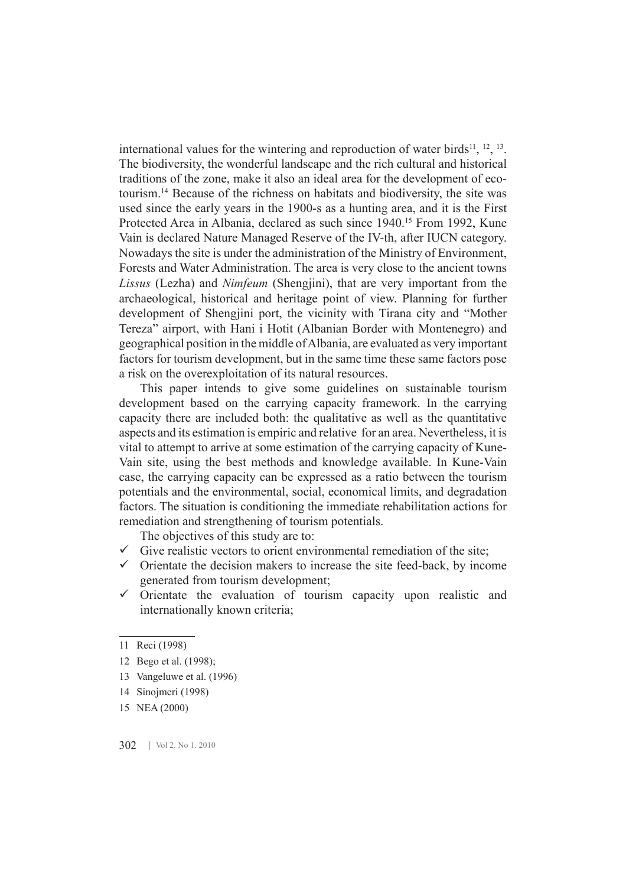international values for the wintering and reproduction of water birds<sup>11</sup>,  $^{12}$ ,  $^{13}$ . The biodiversity, the wonderful landscape and the rich cultural and historical traditions of the zone, make it also an ideal area for the development of ecotourism.<sup>14</sup> Because of the richness on habitats and biodiversity, the site was used since the early years in the 1900-s as a hunting area, and it is the First Protected Area in Albania, declared as such since 1940.<sup>15</sup> From 1992, Kune Vain is declared Nature Managed Reserve of the IV-th, after IUCN category. Nowadays the site is under the administration of the Ministry of Environment, Forests and Water Administration. The area is very close to the ancient towns *Lissus* (Lezha) and *Nimfeum* (Shengjini), that are very important from the archaeological, historical and heritage point of view. Planning for further development of Shengjini port, the vicinity with Tirana city and "Mother Tereza" airport, with Hani i Hotit (Albanian Border with Montenegro) and geographical position in the middle of Albania, are evaluated as very important factors for tourism development, but in the same time these same factors pose a risk on the overexploitation of its natural resources.

This paper intends to give some guidelines on sustainable tourism development based on the carrying capacity framework. In the carrying capacity there are included both: the qualitative as well as the quantitative aspects and its estimation is empiric and relative for an area. Nevertheless, it is vital to attempt to arrive at some estimation of the carrying capacity of Kune-Vain site, using the best methods and knowledge available. In Kune-Vain case, the carrying capacity can be expressed as a ratio between the tourism potentials and the environmental, social, economical limits, and degradation factors. The situation is conditioning the immediate rehabilitation actions for remediation and strengthening of tourism potentials.

The objectives of this study are to:

- $\checkmark$  Give realistic vectors to orient environmental remediation of the site;
- $\checkmark$  Orientate the decision makers to increase the site feed-back, by income generated from tourism development;
- $\checkmark$  Orientate the evaluation of tourism capacity upon realistic and internationally known criteria;

- 13 Vangeluwe et al. (1996)
- 14 Sinojmeri (1998)
- 15 NEA (2000)

302 | Vol 2. No 1. 2010

<sup>11</sup> Reci (1998)

<sup>12</sup> Bego et al. (1998);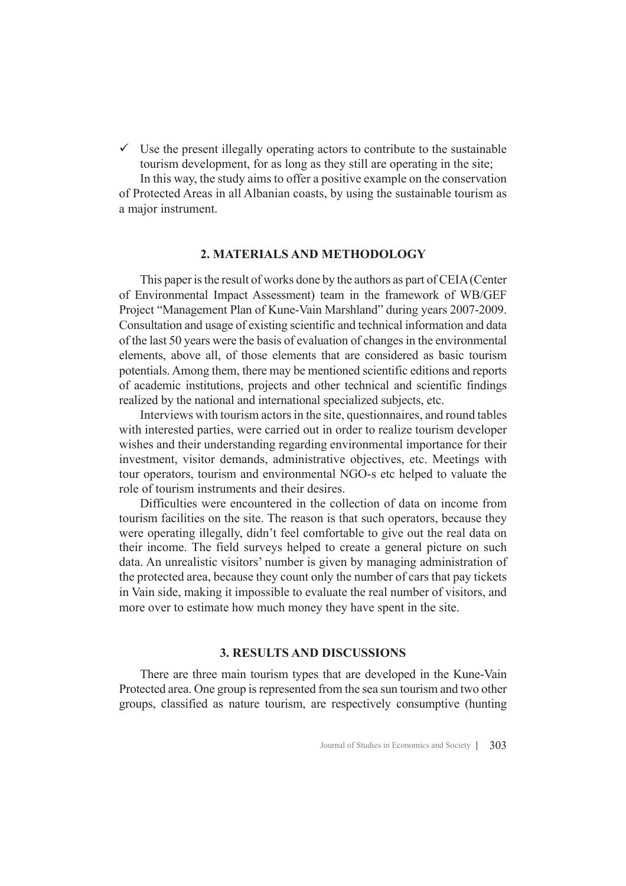$\checkmark$  Use the present illegally operating actors to contribute to the sustainable tourism development, for as long as they still are operating in the site;

In this way, the study aims to offer a positive example on the conservation of Protected Areas in all Albanian coasts, by using the sustainable tourism as a major instrument.

#### **2. MATERIALS AND METHODOLOGY**

This paper is the result of works done by the authors as part of CEIA (Center of Environmental Impact Assessment) team in the framework of WB/GEF Project "Management Plan of Kune-Vain Marshland" during years 2007-2009. Consultation and usage of existing scientific and technical information and data of the last 50 years were the basis of evaluation of changes in the environmental elements, above all, of those elements that are considered as basic tourism potentials. Among them, there may be mentioned scientific editions and reports of academic institutions, projects and other technical and scientific findings realized by the national and international specialized subjects, etc.

Interviews with tourism actors in the site, questionnaires, and round tables with interested parties, were carried out in order to realize tourism developer wishes and their understanding regarding environmental importance for their investment, visitor demands, administrative objectives, etc. Meetings with tour operators, tourism and environmental NGO-s etc helped to valuate the role of tourism instruments and their desires.

Difficulties were encountered in the collection of data on income from tourism facilities on the site. The reason is that such operators, because they were operating illegally, didn't feel comfortable to give out the real data on their income. The field surveys helped to create a general picture on such data. An unrealistic visitors' number is given by managing administration of the protected area, because they count only the number of cars that pay tickets in Vain side, making it impossible to evaluate the real number of visitors, and more over to estimate how much money they have spent in the site.

#### **3. RESULTS AND DISCUSSIONS**

There are three main tourism types that are developed in the Kune-Vain Protected area. One group is represented from the sea sun tourism and two other groups, classified as nature tourism, are respectively consumptive (hunting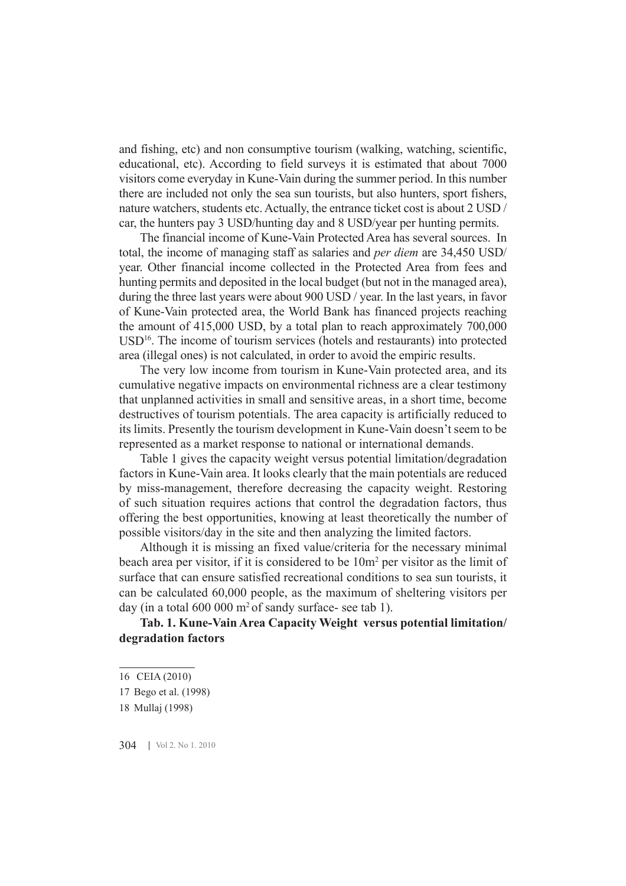and fishing, etc) and non consumptive tourism (walking, watching, scientific, educational, etc). According to field surveys it is estimated that about 7000 visitors come everyday in Kune-Vain during the summer period. In this number there are included not only the sea sun tourists, but also hunters, sport fishers, nature watchers, students etc. Actually, the entrance ticket cost is about 2 USD / car, the hunters pay 3 USD/hunting day and 8 USD/year per hunting permits.

The financial income of Kune-Vain Protected Area has several sources. In total, the income of managing staff as salaries and *per diem* are 34,450 USD/ year. Other financial income collected in the Protected Area from fees and hunting permits and deposited in the local budget (but not in the managed area), during the three last years were about 900 USD / year. In the last years, in favor of Kune-Vain protected area, the World Bank has financed projects reaching the amount of 415,000 USD, by a total plan to reach approximately 700,000 USD<sup>16</sup>. The income of tourism services (hotels and restaurants) into protected area (illegal ones) is not calculated, in order to avoid the empiric results.

The very low income from tourism in Kune-Vain protected area, and its cumulative negative impacts on environmental richness are a clear testimony that unplanned activities in small and sensitive areas, in a short time, become destructives of tourism potentials. The area capacity is artificially reduced to its limits. Presently the tourism development in Kune-Vain doesn't seem to be represented as a market response to national or international demands.

Table 1 gives the capacity weight versus potential limitation/degradation factors in Kune-Vain area. It looks clearly that the main potentials are reduced by miss-management, therefore decreasing the capacity weight. Restoring of such situation requires actions that control the degradation factors, thus offering the best opportunities, knowing at least theoretically the number of possible visitors/day in the site and then analyzing the limited factors.

Although it is missing an fixed value/criteria for the necessary minimal beach area per visitor, if it is considered to be  $10m^2$  per visitor as the limit of surface that can ensure satisfied recreational conditions to sea sun tourists, it can be calculated 60,000 people, as the maximum of sheltering visitors per day (in a total  $600\ 000\ \text{m}^2$  of sandy surface- see tab 1).

## **Tab. 1. Kune-Vain Area Capacity Weight versus potential limitation/ degradation factors**

304 Vol 2. No 1. 2010

<sup>16</sup> CEIA (2010)

<sup>17</sup> Bego et al. (1998)

<sup>18</sup> Mullaj (1998)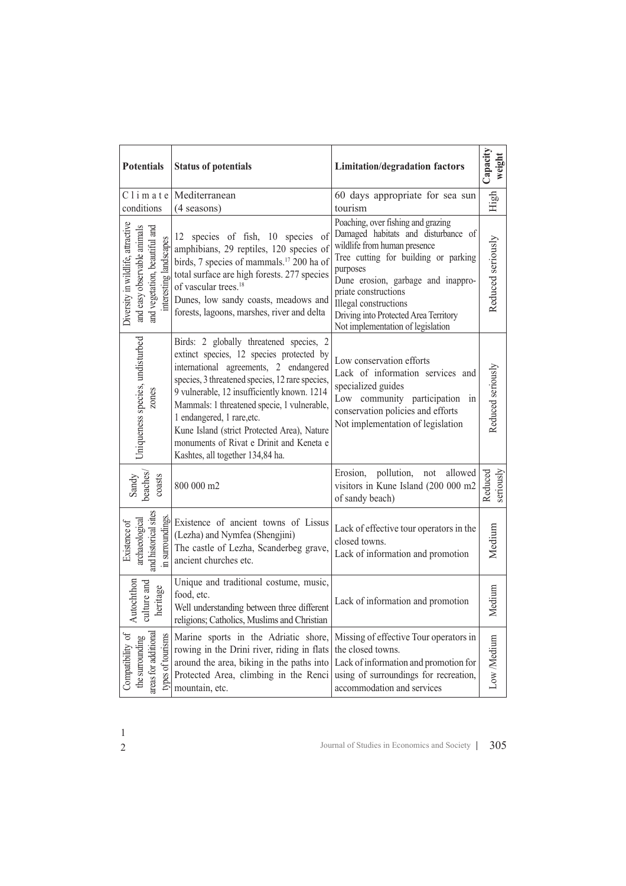| <b>Potentials</b>                                                                                                           | <b>Status of potentials</b>                                                                                                                                                                                                                                                                                                                                                                                                                 | <b>Limitation/degradation factors</b>                                                                                                                                                                                                                                                                                              | Capacity<br>weight   |
|-----------------------------------------------------------------------------------------------------------------------------|---------------------------------------------------------------------------------------------------------------------------------------------------------------------------------------------------------------------------------------------------------------------------------------------------------------------------------------------------------------------------------------------------------------------------------------------|------------------------------------------------------------------------------------------------------------------------------------------------------------------------------------------------------------------------------------------------------------------------------------------------------------------------------------|----------------------|
| conditions                                                                                                                  | $Cl$ i m a t e Mediterranean<br>$(4$ seasons)                                                                                                                                                                                                                                                                                                                                                                                               | 60 days appropriate for sea sun<br>tourism                                                                                                                                                                                                                                                                                         | High                 |
| Diversity in wildlife, attractive<br>and easy observable animals<br>and vegetation, beautiful and<br>interesting landscapes | 12 species of fish, 10 species of<br>amphibians, 29 reptiles, 120 species of<br>birds, 7 species of mammals. <sup>17</sup> 200 ha of<br>total surface are high forests. 277 species<br>of vascular trees. <sup>18</sup><br>Dunes, low sandy coasts, meadows and<br>forests, lagoons, marshes, river and delta                                                                                                                               | Poaching, over fishing and grazing<br>Damaged habitats and disturbance of<br>wildlife from human presence<br>Tree cutting for building or parking<br>purposes<br>Dune erosion, garbage and inappro-<br>priate constructions<br>Illegal constructions<br>Driving into Protected Area Territory<br>Not implementation of legislation | Reduced seriously    |
| Uniqueness species, undisturbed<br>zones                                                                                    | Birds: 2 globally threatened species, 2<br>extinct species, 12 species protected by<br>international agreements, 2 endangered<br>species, 3 threatened species, 12 rare species,<br>9 vulnerable, 12 insufficiently known. 1214<br>Mammals: 1 threatened specie, 1 vulnerable,<br>1 endangered, 1 rare, etc.<br>Kune Island (strict Protected Area), Nature<br>monuments of Rivat e Drinit and Keneta e<br>Kashtes, all together 134,84 ha. | Low conservation efforts<br>Lack of information services and<br>specialized guides<br>Low community participation<br>in<br>conservation policies and efforts<br>Not implementation of legislation                                                                                                                                  | Reduced seriously    |
| beaches/<br>coasts<br>Sandy                                                                                                 | 800 000 m2                                                                                                                                                                                                                                                                                                                                                                                                                                  | Erosion,<br>pollution,<br>allowed<br>not<br>visitors in Kune Island (200 000 m2<br>of sandy beach)                                                                                                                                                                                                                                 | Reduced<br>seriously |
| and historical sites<br>archaeological<br>Existence of                                                                      | Existence of ancient towns of Lissus<br>$\begin{bmatrix}\n\text{Existence of ancient towns of } \\ \text{(Lezha) and Nymfea (Shengjini)} \\ \text{The castle of Lezha, Scanderbeg grave,} \\ \text{ancient churches etc.}\n\end{bmatrix}$                                                                                                                                                                                                   | Lack of effective tour operators in the<br>closed towns.<br>Lack of information and promotion                                                                                                                                                                                                                                      | Medium               |
| Autochthon<br>culture and<br>heritage                                                                                       | Unique and traditional costume, music,<br>food, etc.<br>Well understanding between three different<br>religions; Catholics, Muslims and Christian                                                                                                                                                                                                                                                                                           | Lack of information and promotion                                                                                                                                                                                                                                                                                                  | Medium               |
| areas for additional<br>Compatibility of<br>types of tourisms<br>the surrounding                                            | Marine sports in the Adriatic shore,<br>rowing in the Drini river, riding in flats<br>around the area, biking in the paths into<br>Protected Area, climbing in the Renci<br>mountain, etc.                                                                                                                                                                                                                                                  | Missing of effective Tour operators in<br>the closed towns.<br>Lack of information and promotion for<br>using of surroundings for recreation,<br>accommodation and services                                                                                                                                                        | Low Medium           |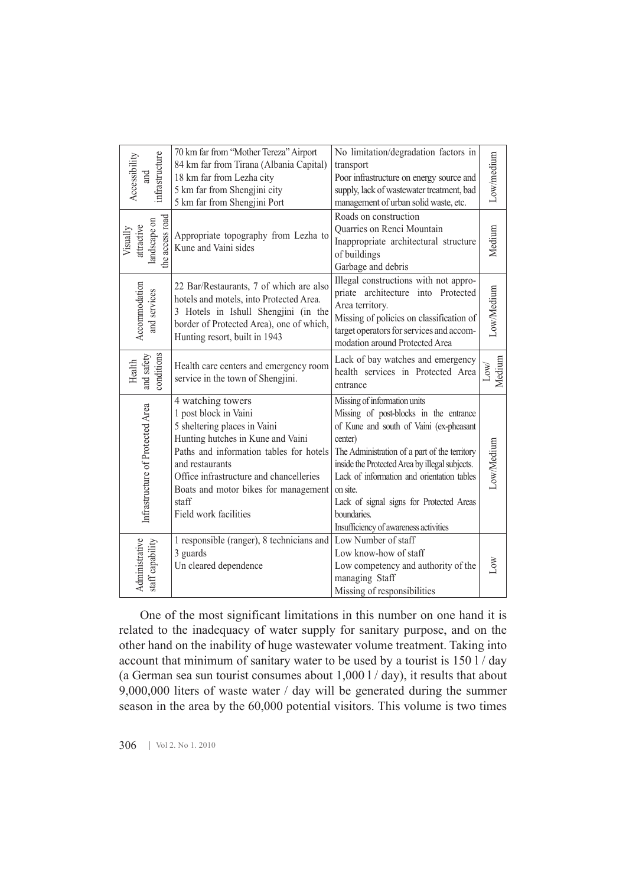| infrastructure<br>Accessibility<br>and                                                                                                                                                                                                                                                                                                                                                                                                                                                                                                                                                                  | 70 km far from "Mother Tereza" Airport<br>84 km far from Tirana (Albania Capital)<br>18 km far from Lezha city<br>5 km far from Shengjini city<br>5 km far from Shengjini Port                                                                                                                     | No limitation/degradation factors in<br>transport<br>Poor infrastructure on energy source and<br>supply, lack of wastewater treatment, bad<br>management of urban solid waste, etc.                                                                                                                                                                                                           | Low/medium                |  |
|---------------------------------------------------------------------------------------------------------------------------------------------------------------------------------------------------------------------------------------------------------------------------------------------------------------------------------------------------------------------------------------------------------------------------------------------------------------------------------------------------------------------------------------------------------------------------------------------------------|----------------------------------------------------------------------------------------------------------------------------------------------------------------------------------------------------------------------------------------------------------------------------------------------------|-----------------------------------------------------------------------------------------------------------------------------------------------------------------------------------------------------------------------------------------------------------------------------------------------------------------------------------------------------------------------------------------------|---------------------------|--|
| the access road<br>landscape on<br>attractive<br>Visually                                                                                                                                                                                                                                                                                                                                                                                                                                                                                                                                               | Appropriate topography from Lezha to<br>Kune and Vaini sides                                                                                                                                                                                                                                       | Roads on construction<br>Quarries on Renci Mountain<br>Inappropriate architectural structure<br>of buildings<br>Garbage and debris                                                                                                                                                                                                                                                            | Medium                    |  |
| Accommodation<br>and services                                                                                                                                                                                                                                                                                                                                                                                                                                                                                                                                                                           | 22 Bar/Restaurants, 7 of which are also<br>hotels and motels, into Protected Area.<br>3 Hotels in Ishull Shengjini (in the<br>border of Protected Area), one of which,<br>Hunting resort, built in 1943                                                                                            | Illegal constructions with not appro-<br>priate architecture into Protected<br>Area territory.<br>Missing of policies on classification of<br>target operators for services and accom-<br>modation around Protected Area                                                                                                                                                                      | Low/Medium                |  |
| conditions<br>and safety<br>Health                                                                                                                                                                                                                                                                                                                                                                                                                                                                                                                                                                      | Health care centers and emergency room<br>service in the town of Shengjini.                                                                                                                                                                                                                        | Lack of bay watches and emergency<br>health services in Protected Area<br>entrance                                                                                                                                                                                                                                                                                                            | Medium<br>$_{\text{Low}}$ |  |
| Infrastructure of Protected Area                                                                                                                                                                                                                                                                                                                                                                                                                                                                                                                                                                        | 4 watching towers<br>1 post block in Vaini<br>5 sheltering places in Vaini<br>Hunting hutches in Kune and Vaini<br>Paths and information tables for hotels<br>and restaurants<br>Office infrastructure and chancelleries<br>Boats and motor bikes for management<br>staff<br>Field work facilities | Missing of information units<br>Missing of post-blocks in the entrance<br>of Kune and south of Vaini (ex-pheasant<br>center)<br>The Administration of a part of the territory<br>inside the Protected Area by illegal subjects.<br>Lack of information and orientation tables<br>on site.<br>Lack of signal signs for Protected Areas<br>boundaries.<br>Insufficiency of awareness activities | Low/Medium                |  |
| Administrative<br>staff capability                                                                                                                                                                                                                                                                                                                                                                                                                                                                                                                                                                      | 1 responsible (ranger), 8 technicians and<br>3 guards<br>Un cleared dependence                                                                                                                                                                                                                     | Low Number of staff<br>Low know-how of staff<br>Low competency and authority of the<br>managing Staff<br>Missing of responsibilities                                                                                                                                                                                                                                                          | δW                        |  |
| One of the most significant limitations in this number on one hand it is<br>related to the inadequacy of water supply for sanitary purpose, and on the<br>other hand on the inability of huge wastewater volume treatment. Taking into<br>account that minimum of sanitary water to be used by a tourist is 150 l / day<br>(a German sea sun tourist consumes about $1,000$ $1$ / day), it results that about<br>9,000,000 liters of waste water / day will be generated during the summer<br>season in the area by the 60,000 potential visitors. This volume is two times<br>306<br>Vol 2. No 1. 2010 |                                                                                                                                                                                                                                                                                                    |                                                                                                                                                                                                                                                                                                                                                                                               |                           |  |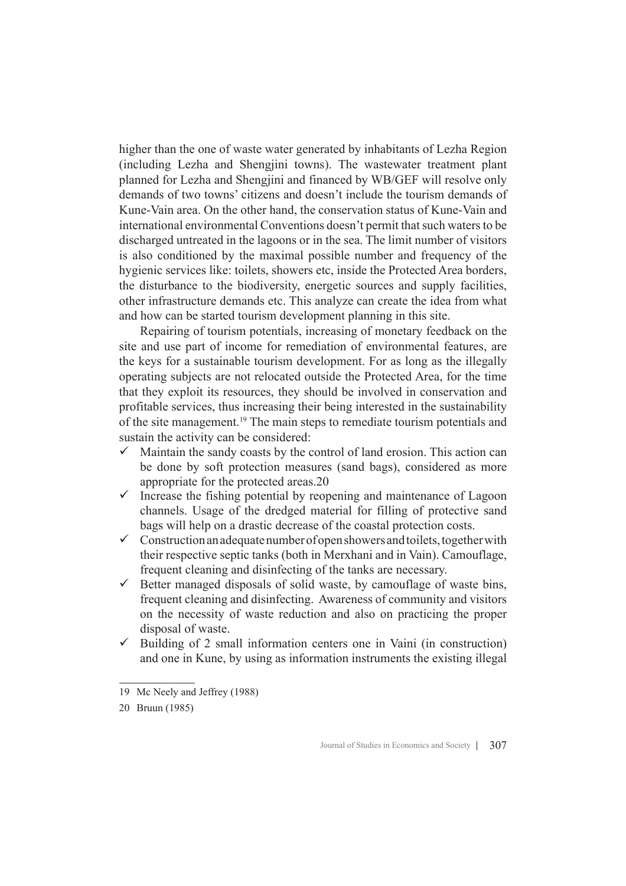higher than the one of waste water generated by inhabitants of Lezha Region (including Lezha and Shengjini towns). The wastewater treatment plant planned for Lezha and Shengjini and financed by WB/GEF will resolve only demands of two towns' citizens and doesn't include the tourism demands of Kune-Vain area. On the other hand, the conservation status of Kune-Vain and international environmental Conventions doesn't permit that such waters to be discharged untreated in the lagoons or in the sea. The limit number of visitors is also conditioned by the maximal possible number and frequency of the hygienic services like: toilets, showers etc, inside the Protected Area borders, the disturbance to the biodiversity, energetic sources and supply facilities, other infrastructure demands etc. This analyze can create the idea from what and how can be started tourism development planning in this site.

Repairing of tourism potentials, increasing of monetary feedback on the site and use part of income for remediation of environmental features, are the keys for a sustainable tourism development. For as long as the illegally operating subjects are not relocated outside the Protected Area, for the time that they exploit its resources, they should be involved in conservation and profitable services, thus increasing their being interested in the sustainability of the site management.<sup>19</sup> The main steps to remediate tourism potentials and sustain the activity can be considered:

- $\checkmark$  Maintain the sandy coasts by the control of land erosion. This action can be done by soft protection measures (sand bags), considered as more appropriate for the protected areas.20
- $\checkmark$  Increase the fishing potential by reopening and maintenance of Lagoon channels. Usage of the dredged material for filling of protective sand bags will help on a drastic decrease of the coastal protection costs.
- $\checkmark$  Construction an adequate number of open showers and toilets, together with their respective septic tanks (both in Merxhani and in Vain). Camouflage, frequent cleaning and disinfecting of the tanks are necessary.
- $\checkmark$  Better managed disposals of solid waste, by camouflage of waste bins, frequent cleaning and disinfecting. Awareness of community and visitors on the necessity of waste reduction and also on practicing the proper disposal of waste.
- $\checkmark$  Building of 2 small information centers one in Vaini (in construction) and one in Kune, by using as information instruments the existing illegal

<sup>19</sup> Mc Neely and Jeffrey (1988)

<sup>20</sup> Bruun (1985)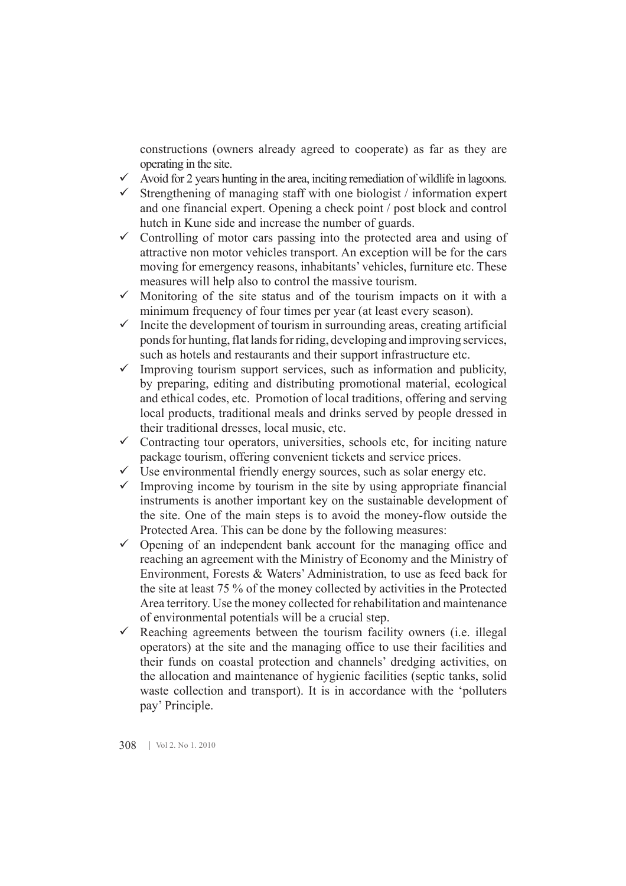constructions (owners already agreed to cooperate) as far as they are operating in the site.

- $\checkmark$  Avoid for 2 years hunting in the area, inciting remediation of wildlife in lagoons.
- $\checkmark$  Strengthening of managing staff with one biologist / information expert and one financial expert. Opening a check point / post block and control hutch in Kune side and increase the number of guards.
- $\checkmark$  Controlling of motor cars passing into the protected area and using of attractive non motor vehicles transport. An exception will be for the cars moving for emergency reasons, inhabitants' vehicles, furniture etc. These measures will help also to control the massive tourism.
- $\checkmark$  Monitoring of the site status and of the tourism impacts on it with a minimum frequency of four times per year (at least every season).
- $\checkmark$  Incite the development of tourism in surrounding areas, creating artificial ponds for hunting, flat lands for riding, developing and improving services, such as hotels and restaurants and their support infrastructure etc.
- $\checkmark$  Improving tourism support services, such as information and publicity, by preparing, editing and distributing promotional material, ecological and ethical codes, etc. Promotion of local traditions, offering and serving local products, traditional meals and drinks served by people dressed in their traditional dresses, local music, etc.
- $\checkmark$  Contracting tour operators, universities, schools etc, for inciting nature package tourism, offering convenient tickets and service prices.
- $\checkmark$  Use environmental friendly energy sources, such as solar energy etc.
- $\checkmark$  Improving income by tourism in the site by using appropriate financial instruments is another important key on the sustainable development of the site. One of the main steps is to avoid the money-flow outside the Protected Area. This can be done by the following measures:
- $\checkmark$  Opening of an independent bank account for the managing office and reaching an agreement with the Ministry of Economy and the Ministry of Environment, Forests & Waters' Administration, to use as feed back for the site at least 75 % of the money collected by activities in the Protected Area territory. Use the money collected for rehabilitation and maintenance of environmental potentials will be a crucial step.
- $\checkmark$  Reaching agreements between the tourism facility owners (i.e. illegal operators) at the site and the managing office to use their facilities and their funds on coastal protection and channels' dredging activities, on the allocation and maintenance of hygienic facilities (septic tanks, solid waste collection and transport). It is in accordance with the 'polluters pay' Principle.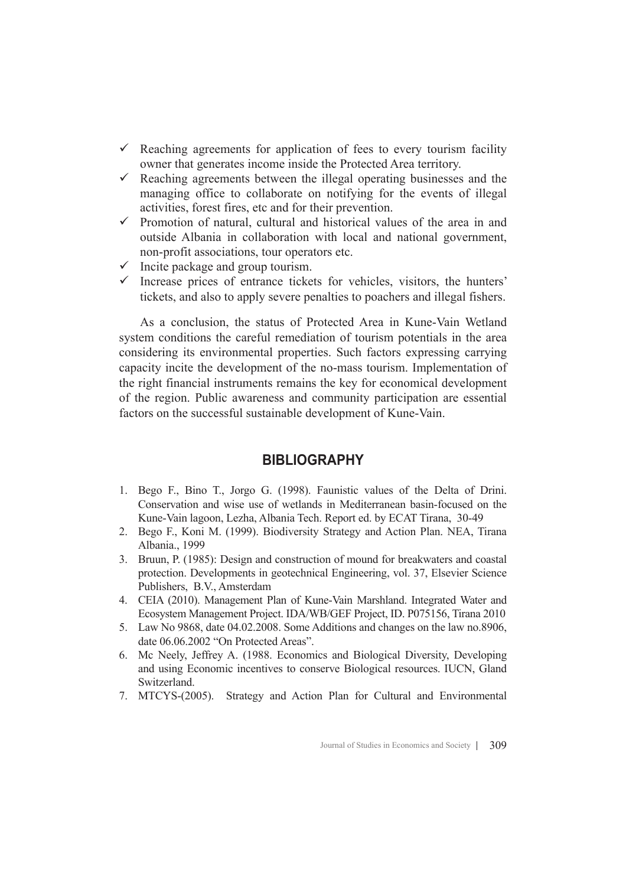- $\checkmark$  Reaching agreements for application of fees to every tourism facility owner that generates income inside the Protected Area territory.
- $\checkmark$  Reaching agreements between the illegal operating businesses and the managing office to collaborate on notifying for the events of illegal activities, forest fires, etc and for their prevention.
- $\checkmark$  Promotion of natural, cultural and historical values of the area in and outside Albania in collaboration with local and national government, non-profit associations, tour operators etc.
- $\checkmark$  Incite package and group tourism.
- $\checkmark$  Increase prices of entrance tickets for vehicles, visitors, the hunters' tickets, and also to apply severe penalties to poachers and illegal fishers.

As a conclusion, the status of Protected Area in Kune-Vain Wetland system conditions the careful remediation of tourism potentials in the area considering its environmental properties. Such factors expressing carrying capacity incite the development of the no-mass tourism. Implementation of the right financial instruments remains the key for economical development of the region. Public awareness and community participation are essential factors on the successful sustainable development of Kune-Vain.

## **BIBLIOGRAPHY**

- 1. Bego F., Bino T., Jorgo G. (1998). Faunistic values of the Delta of Drini. Conservation and wise use of wetlands in Mediterranean basin-focused on the Kune-Vain lagoon, Lezha, Albania Tech. Report ed. by ECAT Tirana, 30-49
- 2. Bego F., Koni M. (1999). Biodiversity Strategy and Action Plan. NEA, Tirana Albania., 1999
- 3. Bruun, P. (1985): Design and construction of mound for breakwaters and coastal protection. Developments in geotechnical Engineering, vol. 37, Elsevier Science Publishers, B.V., Amsterdam
- 4. CEIA (2010). Management Plan of Kune-Vain Marshland. Integrated Water and Ecosystem Management Project. IDA/WB/GEF Project, ID. P075156, Tirana 2010
- 5. Law No 9868, date 04.02.2008. Some Additions and changes on the law no.8906, date 06.06.2002 "On Protected Areas".
- 6. Mc Neely, Jeffrey A. (1988. Economics and Biological Diversity, Developing and using Economic incentives to conserve Biological resources. IUCN, Gland Switzerland.
- 7. MTCYS-(2005). Strategy and Action Plan for Cultural and Environmental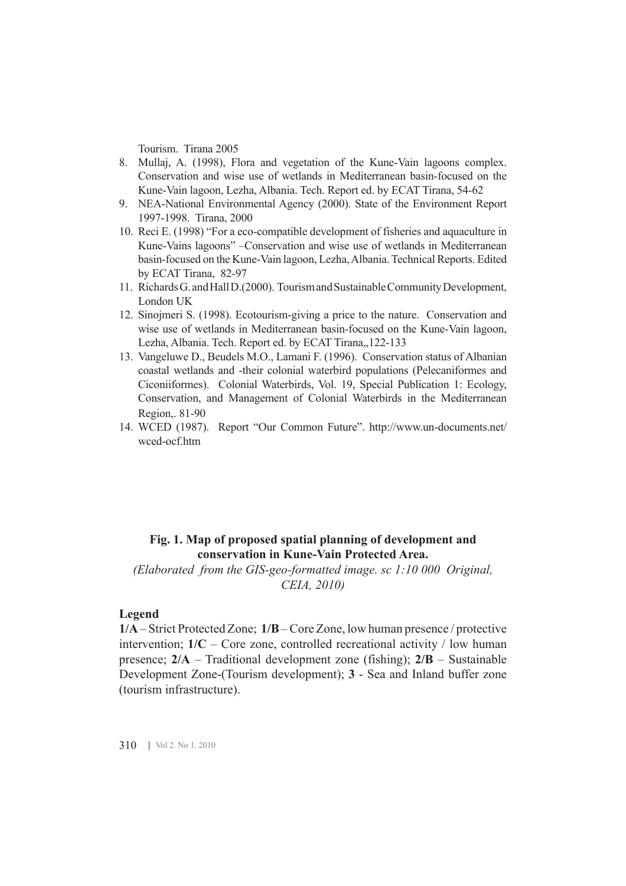Tourism. Tirana 2005

- 8. Mullaj, A. (1998), Flora and vegetation of the Kune-Vain lagoons complex. Conservation and wise use of wetlands in Mediterranean basin-focused on the Kune-Vain lagoon, Lezha, Albania. Tech. Report ed. by ECAT Tirana, 54-62
- 9. NEA-National Environmental Agency (2000). State of the Environment Report 1997-1998. Tirana, 2000
- 10. Reci E. (1998) "For a eco-compatible development of fisheries and aquaculture in Kune-Vains lagoons" –Conservation and wise use of wetlands in Mediterranean basin-focused on the Kune-Vain lagoon, Lezha, Albania. Technical Reports. Edited by ECAT Tirana, 82-97
- 11. Richards G. and Hall D.(2000). Tourism and Sustainable Community Development, London UK
- 12. Sinojmeri S. (1998). Ecotourism-giving a price to the nature. Conservation and wise use of wetlands in Mediterranean basin-focused on the Kune-Vain lagoon, Lezha, Albania. Tech. Report ed. by ECAT Tirana,,122-133
- 13. Vangeluwe D., Beudels M.O., Lamani F. (1996). Conservation status of Albanian coastal wetlands and -their colonial waterbird populations (Pelecaniformes and Ciconiiformes). Colonial Waterbirds, Vol. 19, Special Publication 1: Ecology, Conservation, and Management of Colonial Waterbirds in the Mediterranean Region,. 81-90
- 14. WCED (1987). Report "Our Common Future". http://www.un-documents.net/ wced-ocf.htm

## **Fig. 1. Map of proposed spatial planning of development and conservation in Kune-Vain Protected Area.**

*(Elaborated from the GIS-geo-formatted image. sc 1:10 000 Original, CEIA, 2010)*

#### **Legend**

**1/A** – Strict Protected Zone; **1/B** – Core Zone, low human presence / protective intervention;  $1/C$  – Core zone, controlled recreational activity / low human presence; **2/A** – Traditional development zone (fishing); **2/B** – Sustainable Development Zone-(Tourism development); **3** - Sea and Inland buffer zone (tourism infrastructure).

310 | Vol 2. No 1. 2010